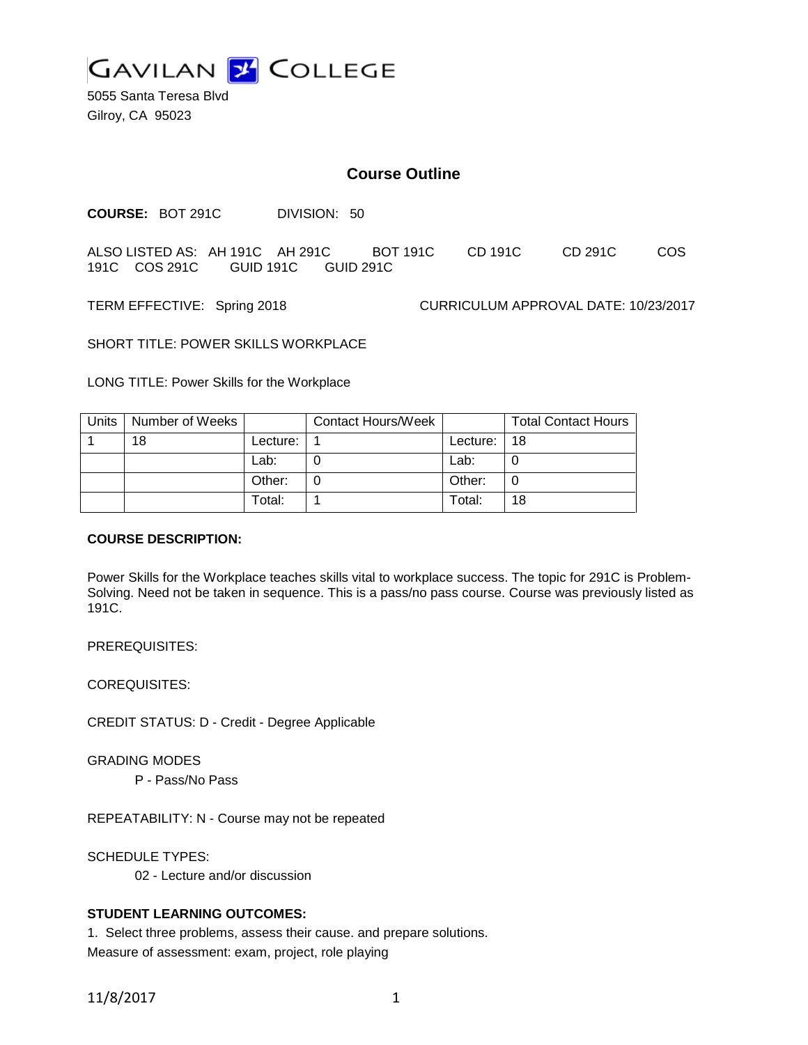

5055 Santa Teresa Blvd Gilroy, CA 95023

## **Course Outline**

**COURSE:** BOT 291C DIVISION: 50

ALSO LISTED AS: AH 191C AH 291C BOT 191C CD 191C CD 291C COS 191C COS 291C GUID 191C GUID 291C

TERM EFFECTIVE: Spring 2018 CURRICULUM APPROVAL DATE: 10/23/2017

SHORT TITLE: POWER SKILLS WORKPLACE

LONG TITLE: Power Skills for the Workplace

| Units   Number of Weeks |          | Contact Hours/Week |          | <b>Total Contact Hours</b> |
|-------------------------|----------|--------------------|----------|----------------------------|
| 18                      | Lecture: |                    | Lecture: | -18                        |
|                         | Lab:     |                    | Lab:     |                            |
|                         | Other:   |                    | Other:   | 0                          |
|                         | Total:   |                    | Total:   | 18                         |

#### **COURSE DESCRIPTION:**

Power Skills for the Workplace teaches skills vital to workplace success. The topic for 291C is Problem-Solving. Need not be taken in sequence. This is a pass/no pass course. Course was previously listed as 191C.

PREREQUISITES:

COREQUISITES:

CREDIT STATUS: D - Credit - Degree Applicable

GRADING MODES

P - Pass/No Pass

REPEATABILITY: N - Course may not be repeated

SCHEDULE TYPES:

02 - Lecture and/or discussion

### **STUDENT LEARNING OUTCOMES:**

1. Select three problems, assess their cause. and prepare solutions. Measure of assessment: exam, project, role playing

11/8/2017 1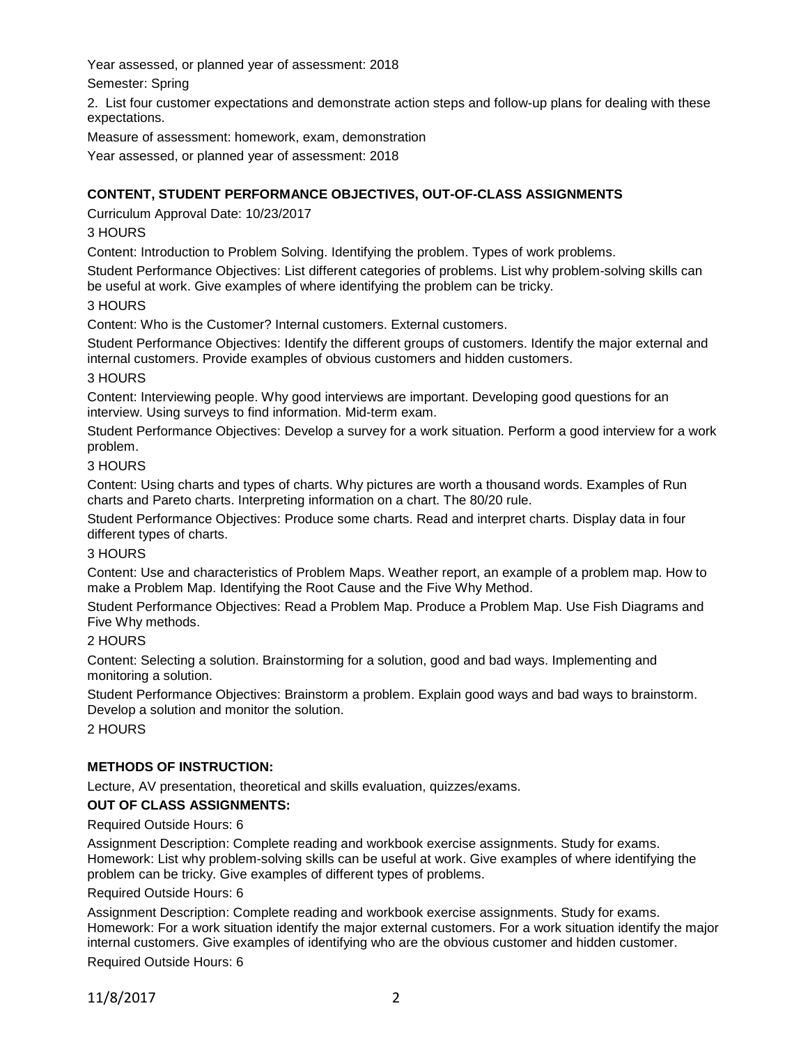Year assessed, or planned year of assessment: 2018

Semester: Spring

2. List four customer expectations and demonstrate action steps and follow-up plans for dealing with these expectations.

Measure of assessment: homework, exam, demonstration

Year assessed, or planned year of assessment: 2018

# **CONTENT, STUDENT PERFORMANCE OBJECTIVES, OUT-OF-CLASS ASSIGNMENTS**

Curriculum Approval Date: 10/23/2017

# 3 HOURS

Content: Introduction to Problem Solving. Identifying the problem. Types of work problems.

Student Performance Objectives: List different categories of problems. List why problem-solving skills can be useful at work. Give examples of where identifying the problem can be tricky.

## 3 HOURS

Content: Who is the Customer? Internal customers. External customers.

Student Performance Objectives: Identify the different groups of customers. Identify the major external and internal customers. Provide examples of obvious customers and hidden customers.

## 3 HOURS

Content: Interviewing people. Why good interviews are important. Developing good questions for an interview. Using surveys to find information. Mid-term exam.

Student Performance Objectives: Develop a survey for a work situation. Perform a good interview for a work problem.

## 3 HOURS

Content: Using charts and types of charts. Why pictures are worth a thousand words. Examples of Run charts and Pareto charts. Interpreting information on a chart. The 80/20 rule.

Student Performance Objectives: Produce some charts. Read and interpret charts. Display data in four different types of charts.

### 3 HOURS

Content: Use and characteristics of Problem Maps. Weather report, an example of a problem map. How to make a Problem Map. Identifying the Root Cause and the Five Why Method.

Student Performance Objectives: Read a Problem Map. Produce a Problem Map. Use Fish Diagrams and Five Why methods.

# 2 HOURS

Content: Selecting a solution. Brainstorming for a solution, good and bad ways. Implementing and monitoring a solution.

Student Performance Objectives: Brainstorm a problem. Explain good ways and bad ways to brainstorm. Develop a solution and monitor the solution.

2 HOURS

# **METHODS OF INSTRUCTION:**

Lecture, AV presentation, theoretical and skills evaluation, quizzes/exams.

# **OUT OF CLASS ASSIGNMENTS:**

Required Outside Hours: 6

Assignment Description: Complete reading and workbook exercise assignments. Study for exams. Homework: List why problem-solving skills can be useful at work. Give examples of where identifying the problem can be tricky. Give examples of different types of problems.

### Required Outside Hours: 6

Assignment Description: Complete reading and workbook exercise assignments. Study for exams. Homework: For a work situation identify the major external customers. For a work situation identify the major internal customers. Give examples of identifying who are the obvious customer and hidden customer.

Required Outside Hours: 6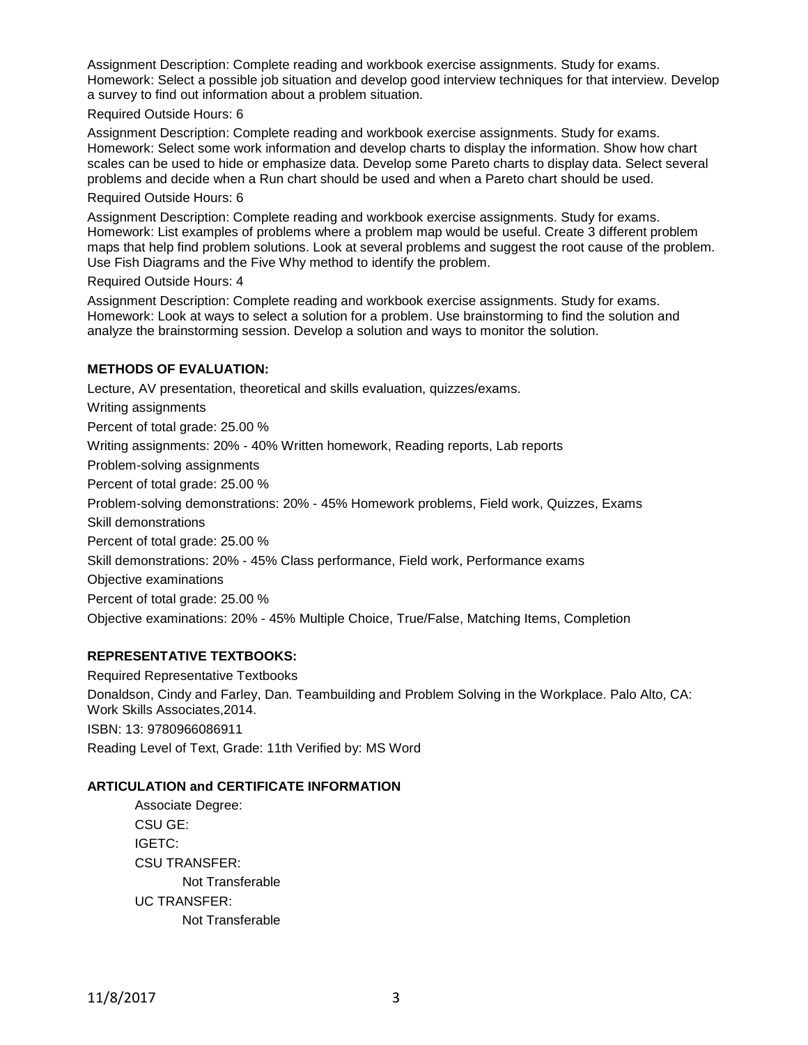Assignment Description: Complete reading and workbook exercise assignments. Study for exams. Homework: Select a possible job situation and develop good interview techniques for that interview. Develop a survey to find out information about a problem situation.

#### Required Outside Hours: 6

Assignment Description: Complete reading and workbook exercise assignments. Study for exams. Homework: Select some work information and develop charts to display the information. Show how chart scales can be used to hide or emphasize data. Develop some Pareto charts to display data. Select several problems and decide when a Run chart should be used and when a Pareto chart should be used.

#### Required Outside Hours: 6

Assignment Description: Complete reading and workbook exercise assignments. Study for exams. Homework: List examples of problems where a problem map would be useful. Create 3 different problem maps that help find problem solutions. Look at several problems and suggest the root cause of the problem. Use Fish Diagrams and the Five Why method to identify the problem.

#### Required Outside Hours: 4

Assignment Description: Complete reading and workbook exercise assignments. Study for exams. Homework: Look at ways to select a solution for a problem. Use brainstorming to find the solution and analyze the brainstorming session. Develop a solution and ways to monitor the solution.

## **METHODS OF EVALUATION:**

Lecture, AV presentation, theoretical and skills evaluation, quizzes/exams. Writing assignments Percent of total grade: 25.00 % Writing assignments: 20% - 40% Written homework, Reading reports, Lab reports Problem-solving assignments Percent of total grade: 25.00 % Problem-solving demonstrations: 20% - 45% Homework problems, Field work, Quizzes, Exams Skill demonstrations Percent of total grade: 25.00 % Skill demonstrations: 20% - 45% Class performance, Field work, Performance exams Objective examinations Percent of total grade: 25.00 % Objective examinations: 20% - 45% Multiple Choice, True/False, Matching Items, Completion

# **REPRESENTATIVE TEXTBOOKS:**

Required Representative Textbooks Donaldson, Cindy and Farley, Dan. Teambuilding and Problem Solving in the Workplace. Palo Alto, CA: Work Skills Associates,2014. ISBN: 13: 9780966086911 Reading Level of Text, Grade: 11th Verified by: MS Word

### **ARTICULATION and CERTIFICATE INFORMATION**

Associate Degree: CSU GE: IGETC: CSU TRANSFER: Not Transferable UC TRANSFER: Not Transferable